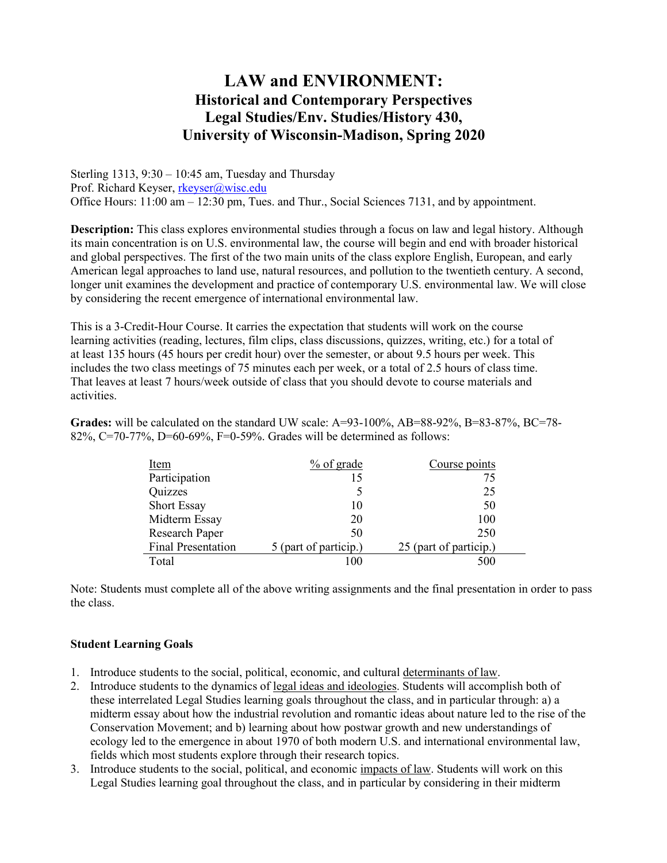# **LAW and ENVIRONMENT: Historical and Contemporary Perspectives Legal Studies/Env. Studies/History 430, University of Wisconsin-Madison, Spring 2020**

Sterling 1313, 9:30 – 10:45 am, Tuesday and Thursday Prof. Richard Keyser, [rkeyser@wisc.edu](mailto:rkeyser@wisc.edu) Office Hours: 11:00 am – 12:30 pm, Tues. and Thur., Social Sciences 7131, and by appointment.

**Description:** This class explores environmental studies through a focus on law and legal history. Although its main concentration is on U.S. environmental law, the course will begin and end with broader historical and global perspectives. The first of the two main units of the class explore English, European, and early American legal approaches to land use, natural resources, and pollution to the twentieth century. A second, longer unit examines the development and practice of contemporary U.S. environmental law. We will close by considering the recent emergence of international environmental law.

This is a 3-Credit-Hour Course. It carries the expectation that students will work on the course learning activities (reading, lectures, film clips, class discussions, quizzes, writing, etc.) for a total of at least 135 hours (45 hours per credit hour) over the semester, or about 9.5 hours per week. This includes the two class meetings of 75 minutes each per week, or a total of 2.5 hours of class time. That leaves at least 7 hours/week outside of class that you should devote to course materials and activities.

**Grades:** will be calculated on the standard UW scale: A=93-100%, AB=88-92%, B=83-87%, BC=78-82%, C=70-77%, D=60-69%, F=0-59%. Grades will be determined as follows:

| Item                      | $%$ of grade          | Course points          |
|---------------------------|-----------------------|------------------------|
| Participation             | 15                    | 75                     |
| Quizzes                   |                       | 25                     |
| <b>Short Essay</b>        | 10                    | 50                     |
| Midterm Essay             | 20                    | 100                    |
| <b>Research Paper</b>     | 50                    | 250                    |
| <b>Final Presentation</b> | 5 (part of particip.) | 25 (part of particip.) |
| Total                     |                       | 500                    |

Note: Students must complete all of the above writing assignments and the final presentation in order to pass the class.

### **Student Learning Goals**

- 1. Introduce students to the social, political, economic, and cultural determinants of law.
- 2. Introduce students to the dynamics of <u>legal ideas and ideologies</u>. Students will accomplish both of these interrelated Legal Studies learning goals throughout the class, and in particular through: a) a midterm essay about how the industrial revolution and romantic ideas about nature led to the rise of the Conservation Movement; and b) learning about how postwar growth and new understandings of ecology led to the emergence in about 1970 of both modern U.S. and international environmental law, fields which most students explore through their research topics.
- 3. Introduce students to the social, political, and economic impacts of law. Students will work on this Legal Studies learning goal throughout the class, and in particular by considering in their midterm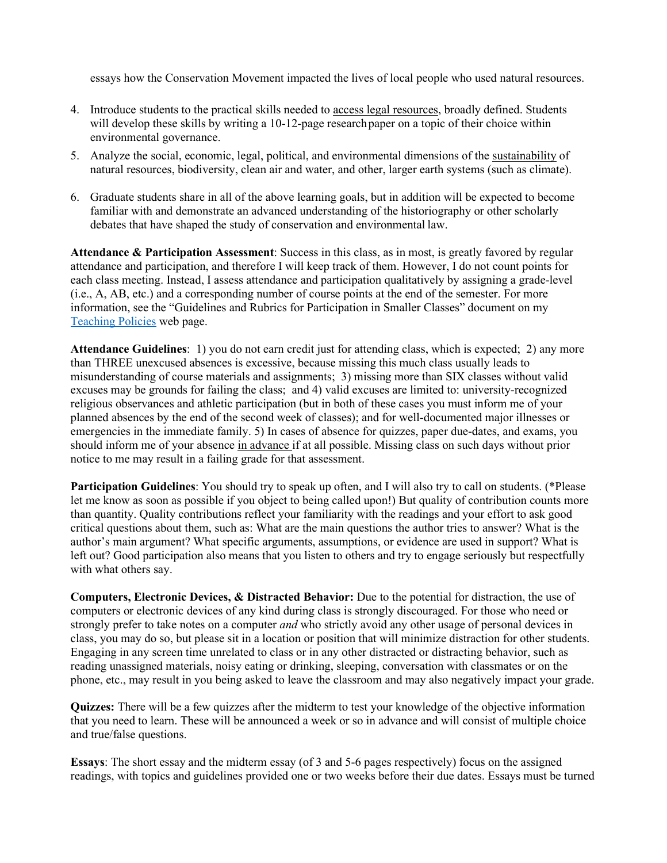essays how the Conservation Movement impacted the lives of local people who used natural resources.

- 4. Introduce students to the practical skills needed to access legal resources, broadly defined. Students will develop these skills by writing a 10-12-page research paper on a topic of their choice within environmental governance.
- 5. Analyze the social, economic, legal, political, and environmental dimensions of the sustainability of natural resources, biodiversity, clean air and water, and other, larger earth systems (such as climate).
- 6. Graduate students share in all of the above learning goals, but in addition will be expected to become familiar with and demonstrate an advanced understanding of the historiography or other scholarly debates that have shaped the study of conservation and environmental law.

**Attendance & Participation Assessment**: Success in this class, as in most, is greatly favored by regular attendance and participation, and therefore I will keep track of them. However, I do not count points for each class meeting. Instead, I assess attendance and participation qualitatively by assigning a grade-level (i.e., A, AB, etc.) and a corresponding number of course points at the end of the semester. For more information, see the "Guidelines and Rubrics for Participation in Smaller Classes" document on my [Teaching Policies](https://www.ssc.wisc.edu/%7Erkeyser/?page_id=80) web page.

**Attendance Guidelines**: 1) you do not earn credit just for attending class, which is expected; 2) any more than THREE unexcused absences is excessive, because missing this much class usually leads to misunderstanding of course materials and assignments; 3) missing more than SIX classes without valid excuses may be grounds for failing the class; and 4) valid excuses are limited to: university-recognized religious observances and athletic participation (but in both of these cases you must inform me of your planned absences by the end of the second week of classes); and for well-documented major illnesses or emergencies in the immediate family. 5) In cases of absence for quizzes, paper due-dates, and exams, you should inform me of your absence in advance if at all possible. Missing class on such days without prior notice to me may result in a failing grade for that assessment.

**Participation Guidelines**: You should try to speak up often, and I will also try to call on students. (\*Please let me know as soon as possible if you object to being called upon!) But quality of contribution counts more than quantity. Quality contributions reflect your familiarity with the readings and your effort to ask good critical questions about them, such as: What are the main questions the author tries to answer? What is the author's main argument? What specific arguments, assumptions, or evidence are used in support? What is left out? Good participation also means that you listen to others and try to engage seriously but respectfully with what others say.

**Computers, Electronic Devices, & Distracted Behavior:** Due to the potential for distraction, the use of computers or electronic devices of any kind during class is strongly discouraged. For those who need or strongly prefer to take notes on a computer *and* who strictly avoid any other usage of personal devices in class, you may do so, but please sit in a location or position that will minimize distraction for other students. Engaging in any screen time unrelated to class or in any other distracted or distracting behavior, such as reading unassigned materials, noisy eating or drinking, sleeping, conversation with classmates or on the phone, etc., may result in you being asked to leave the classroom and may also negatively impact your grade.

**Quizzes:** There will be a few quizzes after the midterm to test your knowledge of the objective information that you need to learn. These will be announced a week or so in advance and will consist of multiple choice and true/false questions.

**Essays**: The short essay and the midterm essay (of 3 and 5-6 pages respectively) focus on the assigned readings, with topics and guidelines provided one or two weeks before their due dates. Essays must be turned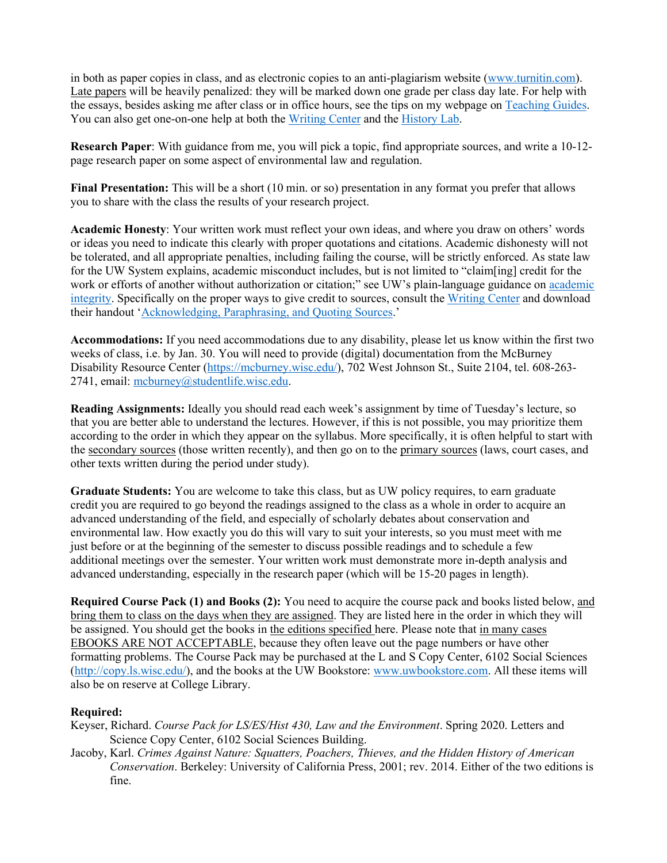in both as paper copies in class, and as electronic copies to an anti-plagiarism website [\(www.turnitin.com\)](http://www.turnitin.com/). Late papers will be heavily penalized: they will be marked down one grade per class day late. For help with the essays, besides asking me after class or in office hours, see the tips on my webpage o[n Teaching Guides.](https://www.ssc.wisc.edu/%7Erkeyser/?page_id=80) You can also get one-on-one help at both the [Writing Center](https://writing.wisc.edu/) and the [History Lab.](https://history.wisc.edu/undergraduate-program/the-history-lab/)

**Research Paper**: With guidance from me, you will pick a topic, find appropriate sources, and write a 10-12 page research paper on some aspect of environmental law and regulation.

**Final Presentation:** This will be a short (10 min. or so) presentation in any format you prefer that allows you to share with the class the results of your research project.

**Academic Honesty**: Your written work must reflect your own ideas, and where you draw on others' words or ideas you need to indicate this clearly with proper quotations and citations. Academic dishonesty will not be tolerated, and all appropriate penalties, including failing the course, will be strictly enforced. As state law for the UW System explains, academic misconduct includes, but is not limited to "claim[ing] credit for the work or efforts of another without authorization or citation;" see UW's plain-language guidance on academic [integrity.](https://students.wisc.edu/student-conduct/academic-integrity/) Specifically on the proper ways to give credit to sources, consult the [Writing Center](http://www.writing.wisc.edu/) and download their handout ['Acknowledging, Paraphrasing, and Quoting Sources.](http://writing.wisc.edu/Handbook/Acknowledging_Sources.pdf)'

**Accommodations:** If you need accommodations due to any disability, please let us know within the first two weeks of class, i.e. by Jan. 30. You will need to provide (digital) documentation from the McBurney Disability Resource Center [\(https://mcburney.wisc.edu/\)](https://mcburney.wisc.edu/), 702 West Johnson St., Suite 2104, tel. 608-263- 2741, email: [mcburney@studentlife.wisc.edu.](mailto:mcburney@studentlife.wisc.edu)

**Reading Assignments:** Ideally you should read each week's assignment by time of Tuesday's lecture, so that you are better able to understand the lectures. However, if this is not possible, you may prioritize them according to the order in which they appear on the syllabus. More specifically, it is often helpful to start with the secondary sources (those written recently), and then go on to the primary sources (laws, court cases, and other texts written during the period under study).

**Graduate Students:** You are welcome to take this class, but as UW policy requires, to earn graduate credit you are required to go beyond the readings assigned to the class as a whole in order to acquire an advanced understanding of the field, and especially of scholarly debates about conservation and environmental law. How exactly you do this will vary to suit your interests, so you must meet with me just before or at the beginning of the semester to discuss possible readings and to schedule a few additional meetings over the semester. Your written work must demonstrate more in-depth analysis and advanced understanding, especially in the research paper (which will be 15-20 pages in length).

**Required Course Pack (1) and Books (2):** You need to acquire the course pack and books listed below, and bring them to class on the days when they are assigned. They are listed here in the order in which they will be assigned. You should get the books in the editions specified here. Please note that in many cases EBOOKS ARE NOT ACCEPTABLE, because they often leave out the page numbers or have other formatting problems. The Course Pack may be purchased at the L and S Copy Center, 6102 Social Sciences [\(http://copy.ls.wisc.edu/\)](http://copy.ls.wisc.edu/), and the books at the UW Bookstore: [www.uwbookstore.com.](http://www.uwbookstore.com/) All these items will also be on reserve at College Library.

### **Required:**

Keyser, Richard. *Course Pack for LS/ES/Hist 430, Law and the Environment*. Spring 2020. Letters and Science Copy Center, 6102 Social Sciences Building.

Jacoby, Karl. *Crimes Against Nature: Squatters, Poachers, Thieves, and the Hidden History of American Conservation*. Berkeley: University of California Press, 2001; rev. 2014. Either of the two editions is fine.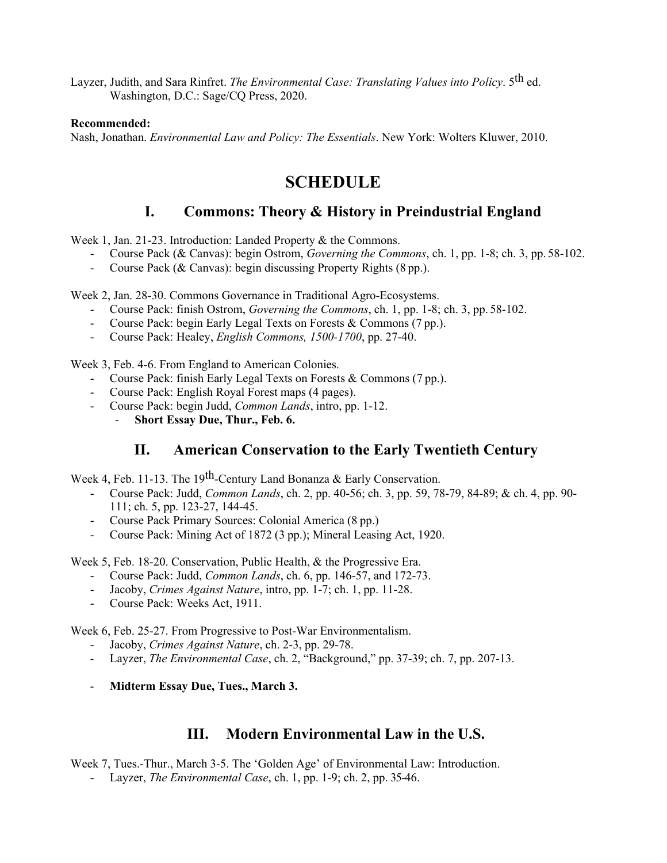Layzer, Judith, and Sara Rinfret. *The Environmental Case: Translating Values into Policy*. 5th ed. Washington, D.C.: Sage/CQ Press, 2020.

#### **Recommended:**

Nash, Jonathan. *Environmental Law and Policy: The Essentials*. New York: Wolters Kluwer, 2010.

# **SCHEDULE**

## **I. Commons: Theory & History in Preindustrial England**

Week 1, Jan. 21-23. Introduction: Landed Property & the Commons.

- Course Pack (& Canvas): begin Ostrom, *Governing the Commons*, ch. 1, pp. 1-8; ch. 3, pp. 58-102.
- Course Pack (& Canvas): begin discussing Property Rights (8 pp.).

Week 2, Jan. 28-30. Commons Governance in Traditional Agro-Ecosystems.

- Course Pack: finish Ostrom, *Governing the Commons*, ch. 1, pp. 1-8; ch. 3, pp. 58-102.
- Course Pack: begin Early Legal Texts on Forests & Commons (7 pp.).
- Course Pack: Healey, *English Commons, 1500-1700*, pp. 27-40.

Week 3, Feb. 4-6. From England to American Colonies.

- Course Pack: finish Early Legal Texts on Forests & Commons (7 pp.).
- Course Pack: English Royal Forest maps (4 pages).
- Course Pack: begin Judd, *Common Lands*, intro, pp. 1-12.
	- **Short Essay Due, Thur., Feb. 6.**

### **II. American Conservation to the Early Twentieth Century**

Week 4, Feb. 11-13. The 19<sup>th</sup>-Century Land Bonanza & Early Conservation.

- Course Pack: Judd, *Common Lands*, ch. 2, pp. 40-56; ch. 3, pp. 59, 78-79, 84-89; & ch. 4, pp. 90- 111; ch. 5, pp. 123-27, 144-45.
- Course Pack Primary Sources: Colonial America (8 pp.)
- Course Pack: Mining Act of 1872 (3 pp.); Mineral Leasing Act, 1920.

Week 5, Feb. 18-20. Conservation, Public Health, & the Progressive Era.

- Course Pack: Judd, *Common Lands*, ch. 6, pp. 146-57, and 172-73.
- Jacoby, *Crimes Against Nature*, intro, pp. 1-7; ch. 1, pp. 11-28.
- Course Pack: Weeks Act, 1911.

Week 6, Feb. 25-27. From Progressive to Post-War Environmentalism.

- Jacoby, *Crimes Against Nature*, ch. 2-3, pp. 29-78.
- Layzer, *The Environmental Case*, ch. 2, "Background," pp. 37-39; ch. 7, pp. 207-13.
- **Midterm Essay Due, Tues., March 3.**

### **III. Modern Environmental Law in the U.S.**

Week 7, Tues.-Thur., March 3-5. The 'Golden Age' of Environmental Law: Introduction.

- Layzer, *The Environmental Case*, ch. 1, pp. 1-9; ch. 2, pp. 35-46.